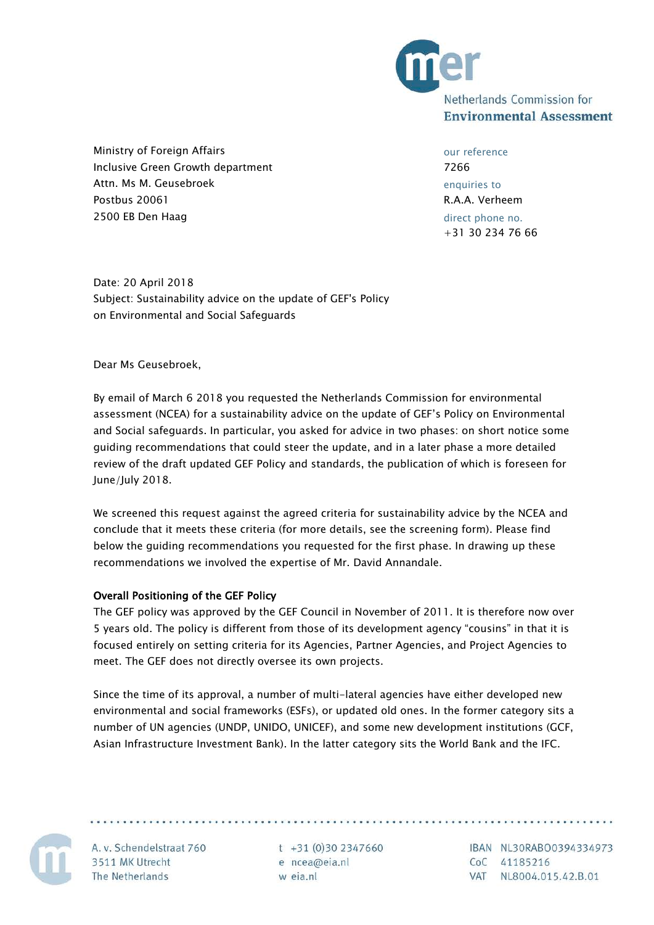

Ministry of Foreign Affairs Inclusive Green Growth department Attn. Ms M. Geusebroek Postbus 20061 2500 EB Den Haag

our reference 7266 enquiries to R.A.A. Verheem direct phone no. +31 30 234 76 66

Date: 20 April 2018 Subject: Sustainability advice on the update of GEF's Policy on Environmental and Social Safeguards

Dear Ms Geusebroek,

By email of March 6 2018 you requested the Netherlands Commission for environmental assessment (NCEA) for a sustainability advice on the update of GEF's Policy on Environmental and Social safeguards. In particular, you asked for advice in two phases: on short notice some guiding recommendations that could steer the update, and in a later phase a more detailed review of the draft updated GEF Policy and standards, the publication of which is foreseen for June/July 2018.

We screened this request against the agreed criteria for sustainability advice by the NCEA and conclude that it meets these criteria (for more details, see the screening form). Please find below the guiding recommendations you requested for the first phase. In drawing up these recommendations we involved the expertise of Mr. David Annandale.

# Overall Positioning of the GEF Policy

The GEF policy was approved by the GEF Council in November of 2011. It is therefore now over 5 years old. The policy is different from those of its development agency "cousins" in that it is focused entirely on setting criteria for its Agencies, Partner Agencies, and Project Agencies to meet. The GEF does not directly oversee its own projects.

Since the time of its approval, a number of multi-lateral agencies have either developed new environmental and social frameworks (ESFs), or updated old ones. In the former category sits a number of UN agencies (UNDP, UNIDO, UNICEF), and some new development institutions (GCF, Asian Infrastructure Investment Bank). In the latter category sits the World Bank and the IFC.



A. v. Schendelstraat 760 3511 MK Utrecht The Netherlands

 $t +31(0)302347660$ e ncea@eia.nl w eia.nl

IBAN NL30RABO0394334973 CoC 41185216 VAT NL8004.015.42.B.01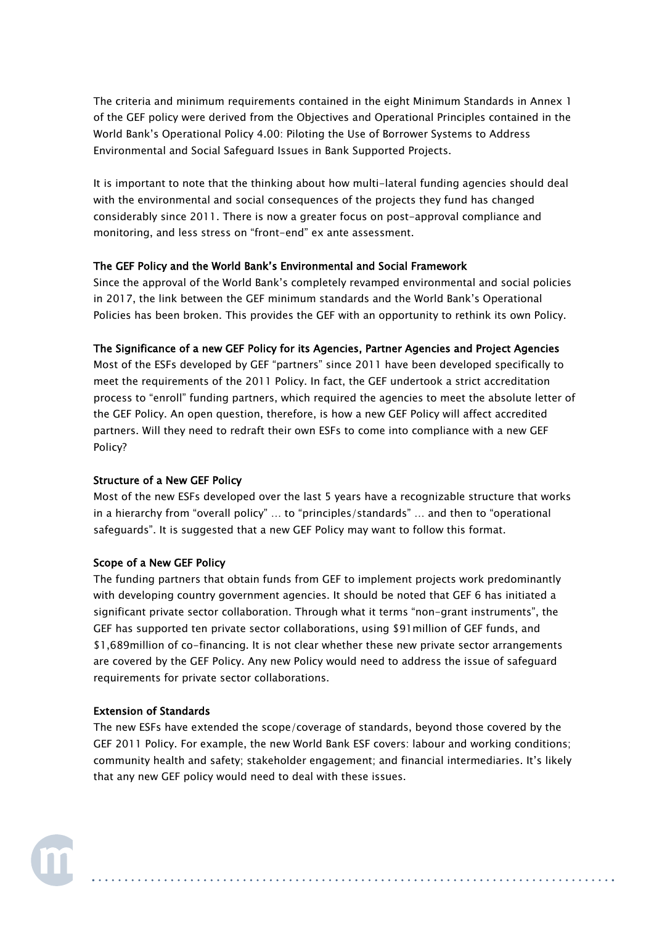The criteria and minimum requirements contained in the eight Minimum Standards in Annex 1 of the GEF policy were derived from the Objectives and Operational Principles contained in the World Bank's Operational Policy 4.00: Piloting the Use of Borrower Systems to Address Environmental and Social Safeguard Issues in Bank Supported Projects.

It is important to note that the thinking about how multi-lateral funding agencies should deal with the environmental and social consequences of the projects they fund has changed considerably since 2011. There is now a greater focus on post-approval compliance and monitoring, and less stress on "front-end" ex ante assessment.

# The GEF Policy and the World Bank's Environmental and Social Framework

Since the approval of the World Bank's completely revamped environmental and social policies in 2017, the link between the GEF minimum standards and the World Bank's Operational Policies has been broken. This provides the GEF with an opportunity to rethink its own Policy.

### The Significance of a new GEF Policy for its Agencies, Partner Agencies and Project Agencies

Most of the ESFs developed by GEF "partners" since 2011 have been developed specifically to meet the requirements of the 2011 Policy. In fact, the GEF undertook a strict accreditation process to "enroll" funding partners, which required the agencies to meet the absolute letter of the GEF Policy. An open question, therefore, is how a new GEF Policy will affect accredited partners. Will they need to redraft their own ESFs to come into compliance with a new GEF Policy?

# Structure of a New GEF Policy

Most of the new ESFs developed over the last 5 years have a recognizable structure that works in a hierarchy from "overall policy" … to "principles/standards" … and then to "operational safeguards". It is suggested that a new GEF Policy may want to follow this format.

### Scope of a New GEF Policy

The funding partners that obtain funds from GEF to implement projects work predominantly with developing country government agencies. It should be noted that GEF 6 has initiated a significant private sector collaboration. Through what it terms "non-grant instruments", the GEF has supported ten private sector collaborations, using \$91million of GEF funds, and \$1,689million of co-financing. It is not clear whether these new private sector arrangements are covered by the GEF Policy. Any new Policy would need to address the issue of safeguard requirements for private sector collaborations.

# Extension of Standards

The new ESFs have extended the scope/coverage of standards, beyond those covered by the GEF 2011 Policy. For example, the new World Bank ESF covers: labour and working conditions; community health and safety; stakeholder engagement; and financial intermediaries. It's likely that any new GEF policy would need to deal with these issues.